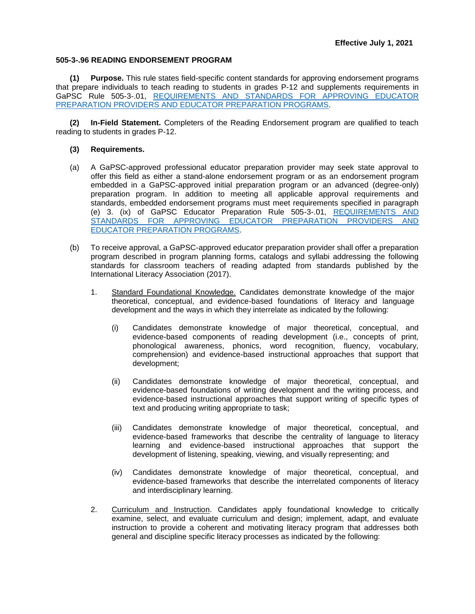## **505-3-.96 READING ENDORSEMENT PROGRAM**

**(1) Purpose.** This rule states field-specific content standards for approving endorsement programs that prepare individuals to teach reading to students in grades P-12 and supplements requirements in GaPSC Rule 505-3-.01, [REQUIREMENTS AND STANDARDS FOR APPROVING EDUCATOR](https://www.gapsc.com/Rules/Current/EducatorPreparation/505-3-.01.pdf?dt=%3C%25#Eval()  [PREPARATION PROVIDERS AND EDUCATOR PREPARATION PROGRAMS.](https://www.gapsc.com/Rules/Current/EducatorPreparation/505-3-.01.pdf?dt=%3C%25#Eval()

**(2) In-Field Statement.** Completers of the Reading Endorsement program are qualified to teach reading to students in grades P-12.

## **(3) Requirements.**

- (a) A GaPSC-approved professional educator preparation provider may seek state approval to offer this field as either a stand-alone endorsement program or as an endorsement program embedded in a GaPSC-approved initial preparation program or an advanced (degree-only) preparation program. In addition to meeting all applicable approval requirements and standards, embedded endorsement programs must meet requirements specified in paragraph (e) 3. (ix) of GaPSC Educator Preparation Rule 505-3-.01, [REQUIREMENTS AND](https://www.gapsc.com/Rules/Current/EducatorPreparation/505-3-.01.pdf?dt=%3C%25#Eval()  [STANDARDS FOR APPROVING EDUCATOR PREPARATION PROVIDERS AND](https://www.gapsc.com/Rules/Current/EducatorPreparation/505-3-.01.pdf?dt=%3C%25#Eval()  [EDUCATOR PREPARATION PROGRAMS.](https://www.gapsc.com/Rules/Current/EducatorPreparation/505-3-.01.pdf?dt=%3C%25#Eval()
- (b) To receive approval, a GaPSC-approved educator preparation provider shall offer a preparation program described in program planning forms, catalogs and syllabi addressing the following standards for classroom teachers of reading adapted from standards published by the International Literacy Association (2017).
	- 1. Standard Foundational Knowledge. Candidates demonstrate knowledge of the major theoretical, conceptual, and evidence-based foundations of literacy and language development and the ways in which they interrelate as indicated by the following:
		- (i) Candidates demonstrate knowledge of major theoretical, conceptual, and evidence-based components of reading development (i.e., concepts of print, phonological awareness, phonics, word recognition, fluency, vocabulary, comprehension) and evidence-based instructional approaches that support that development;
		- (ii) Candidates demonstrate knowledge of major theoretical, conceptual, and evidence-based foundations of writing development and the writing process, and evidence-based instructional approaches that support writing of specific types of text and producing writing appropriate to task;
		- (iii) Candidates demonstrate knowledge of major theoretical, conceptual, and evidence-based frameworks that describe the centrality of language to literacy learning and evidence-based instructional approaches that support the development of listening, speaking, viewing, and visually representing; and
		- (iv) Candidates demonstrate knowledge of major theoretical, conceptual, and evidence-based frameworks that describe the interrelated components of literacy and interdisciplinary learning.
	- 2. Curriculum and Instruction. Candidates apply foundational knowledge to critically examine, select, and evaluate curriculum and design; implement, adapt, and evaluate instruction to provide a coherent and motivating literacy program that addresses both general and discipline specific literacy processes as indicated by the following: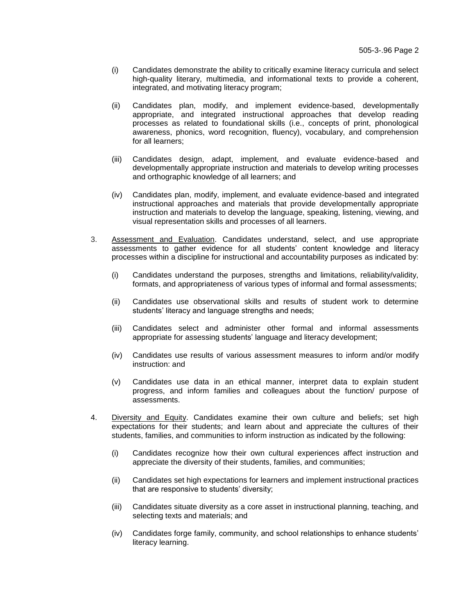- (i) Candidates demonstrate the ability to critically examine literacy curricula and select high-quality literary, multimedia, and informational texts to provide a coherent, integrated, and motivating literacy program;
- (ii) Candidates plan, modify, and implement evidence-based, developmentally appropriate, and integrated instructional approaches that develop reading processes as related to foundational skills (i.e., concepts of print, phonological awareness, phonics, word recognition, fluency), vocabulary, and comprehension for all learners;
- (iii) Candidates design, adapt, implement, and evaluate evidence-based and developmentally appropriate instruction and materials to develop writing processes and orthographic knowledge of all learners; and
- (iv) Candidates plan, modify, implement, and evaluate evidence-based and integrated instructional approaches and materials that provide developmentally appropriate instruction and materials to develop the language, speaking, listening, viewing, and visual representation skills and processes of all learners.
- 3. Assessment and Evaluation. Candidates understand, select, and use appropriate assessments to gather evidence for all students' content knowledge and literacy processes within a discipline for instructional and accountability purposes as indicated by:
	- (i) Candidates understand the purposes, strengths and limitations, reliability/validity, formats, and appropriateness of various types of informal and formal assessments;
	- (ii) Candidates use observational skills and results of student work to determine students' literacy and language strengths and needs;
	- (iii) Candidates select and administer other formal and informal assessments appropriate for assessing students' language and literacy development;
	- (iv) Candidates use results of various assessment measures to inform and/or modify instruction: and
	- (v) Candidates use data in an ethical manner, interpret data to explain student progress, and inform families and colleagues about the function/ purpose of assessments.
- 4. Diversity and Equity. Candidates examine their own culture and beliefs; set high expectations for their students; and learn about and appreciate the cultures of their students, families, and communities to inform instruction as indicated by the following:
	- (i) Candidates recognize how their own cultural experiences affect instruction and appreciate the diversity of their students, families, and communities;
	- (ii) Candidates set high expectations for learners and implement instructional practices that are responsive to students' diversity;
	- (iii) Candidates situate diversity as a core asset in instructional planning, teaching, and selecting texts and materials; and
	- (iv) Candidates forge family, community, and school relationships to enhance students' literacy learning.